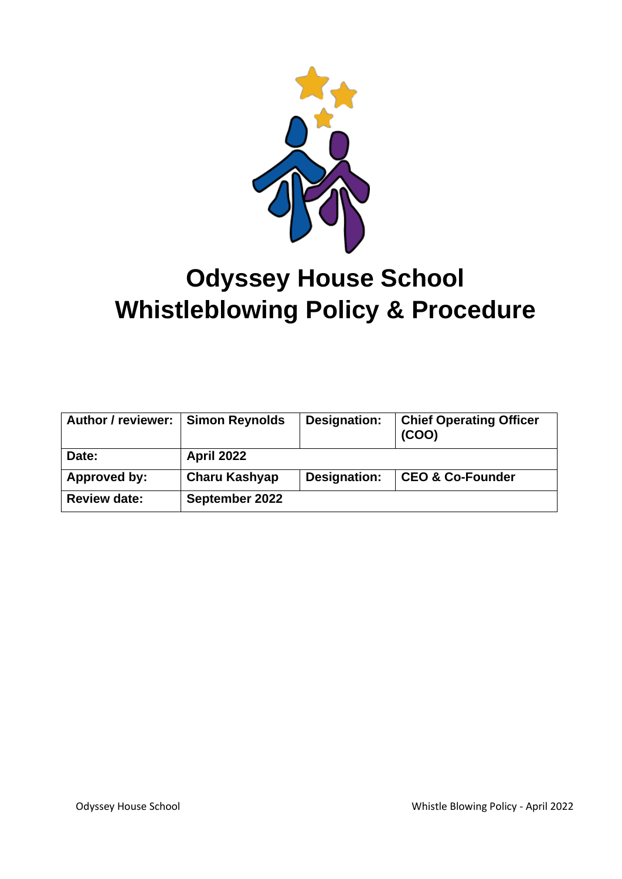

# **Odyssey House School Whistleblowing Policy & Procedure**

| <b>Author / reviewer:</b> | <b>Simon Reynolds</b> | Designation: | <b>Chief Operating Officer</b><br>(COO) |
|---------------------------|-----------------------|--------------|-----------------------------------------|
| Date:                     | <b>April 2022</b>     |              |                                         |
| Approved by:              | Charu Kashyap         | Designation: | <b>CEO &amp; Co-Founder</b>             |
| <b>Review date:</b>       | September 2022        |              |                                         |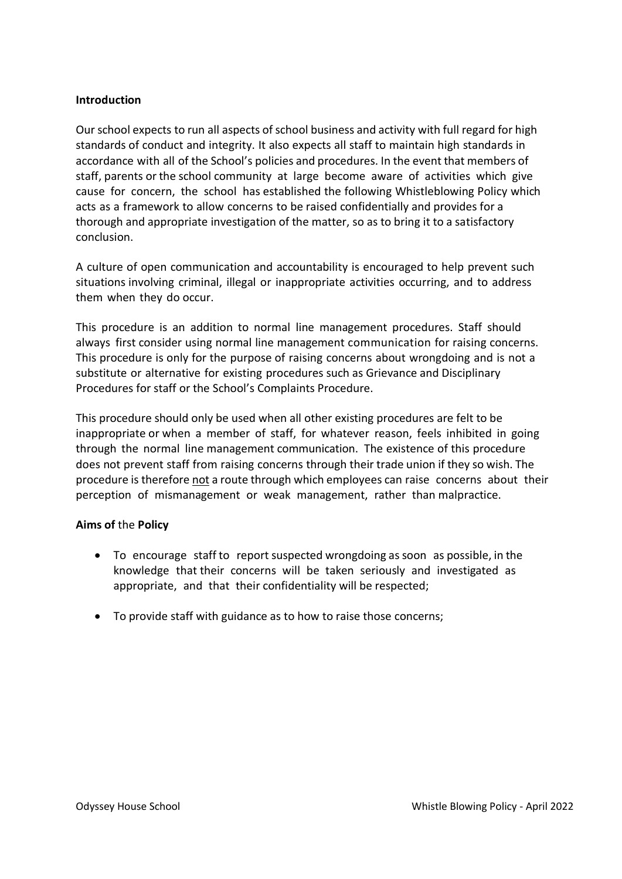# **Introduction**

Our school expects to run all aspects of school business and activity with full regard for high standards of conduct and integrity. It also expects all staff to maintain high standards in accordance with all of the School's policies and procedures. In the event that members of staff, parents or the school community at large become aware of activities which give cause for concern, the school has established the following Whistleblowing Policy which acts as a framework to allow concerns to be raised confidentially and provides for a thorough and appropriate investigation of the matter, so as to bring it to a satisfactory conclusion.

A culture of open communication and accountability is encouraged to help prevent such situations involving criminal, illegal or inappropriate activities occurring, and to address them when they do occur.

This procedure is an addition to normal line management procedures. Staff should always first consider using normal line management communication for raising concerns. This procedure is only for the purpose of raising concerns about wrongdoing and is not a substitute or alternative for existing procedures such as Grievance and Disciplinary Procedures for staff or the School's Complaints Procedure.

This procedure should only be used when all other existing procedures are felt to be inappropriate or when a member of staff, for whatever reason, feels inhibited in going through the normal line management communication. The existence of this procedure does not prevent staff from raising concerns through their trade union if they so wish. The procedure is therefore not a route through which employees can raise concerns about their perception of mismanagement or weak management, rather than malpractice.

# **Aims of** the **Policy**

- To encourage staff to report suspected wrongdoing as soon as possible, in the knowledge that their concerns will be taken seriously and investigated as appropriate, and that their confidentiality will be respected;
- To provide staff with guidance as to how to raise those concerns;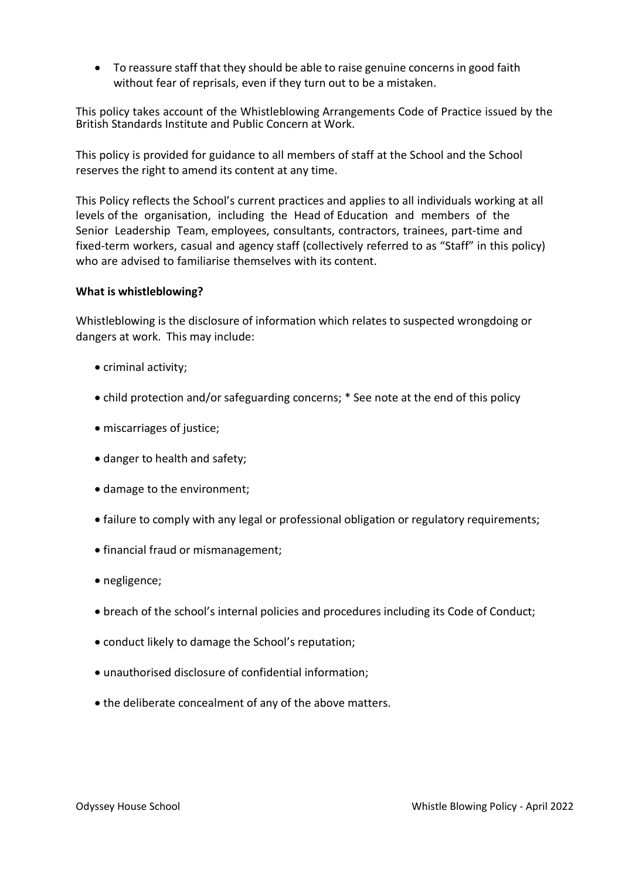• To reassure staff that they should be able to raise genuine concerns in good faith without fear of reprisals, even if they turn out to be a mistaken.

This policy takes account of the Whistleblowing Arrangements Code of Practice issued by the British Standards Institute and Public Concern at Work.

This policy is provided for guidance to all members of staff at the School and the School reserves the right to amend its content at any time.

This Policy reflects the School's current practices and applies to all individuals working at all levels of the organisation, including the Head of Education and members of the Senior Leadership Team, employees, consultants, contractors, trainees, part-time and fixed-term workers, casual and agency staff (collectively referred to as "Staff" in this policy) who are advised to familiarise themselves with its content.

# **What is whistleblowing?**

Whistleblowing is the disclosure of information which relates to suspected wrongdoing or dangers at work. This may include:

- criminal activity;
- child protection and/or safeguarding concerns; \* See note at the end of this policy
- miscarriages of justice;
- danger to health and safety;
- damage to the environment;
- failure to comply with any legal or professional obligation or regulatory requirements;
- financial fraud or mismanagement;
- negligence;
- breach of the school's internal policies and procedures including its Code of Conduct;
- conduct likely to damage the School's reputation;
- unauthorised disclosure of confidential information;
- the deliberate concealment of any of the above matters.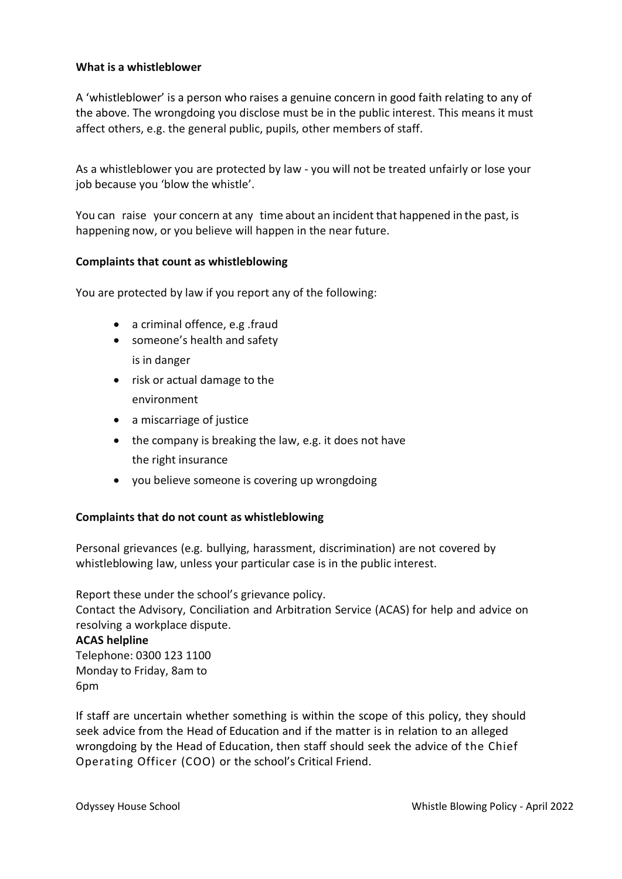# **What is a whistleblower**

A 'whistleblower' is a person who raises a genuine concern in good faith relating to any of the above. The wrongdoing you disclose must be in the public interest. This means it must affect others, e.g. the general public, pupils, other members of staff.

As a whistleblower you are protected by law - you will not be treated unfairly or lose your job because you 'blow the whistle'.

You can raise your concern at any time about an incident that happened in the past, is happening now, or you believe will happen in the near future.

#### **Complaints that count as whistleblowing**

You are protected by law if you report any of the following:

- a criminal offence, e.g .fraud
- someone's health and safety is in danger
- risk or actual damage to the environment
- a miscarriage of justice
- the company is breaking the law, e.g. it does not have the right insurance
- you believe someone is covering up wrongdoing

# **Complaints that do not count as whistleblowing**

Personal grievances (e.g. bullying, harassment, discrimination) are not covered by whistleblowing law, unless your particular case is in the public interest.

Report these under the school's grievance policy. Contact the Advisory, Conciliation and Arbitration Service (ACAS) for help and advice on resolving a workplace dispute.

#### **ACAS helpline**

Telephone: 0300 123 1100 Monday to Friday, 8am to 6pm

If staff are uncertain whether something is within the scope of this policy, they should seek advice from the Head of Education and if the matter is in relation to an alleged wrongdoing by the Head of Education, then staff should seek the advice of the Chief Operating Officer (COO) or the school's Critical Friend.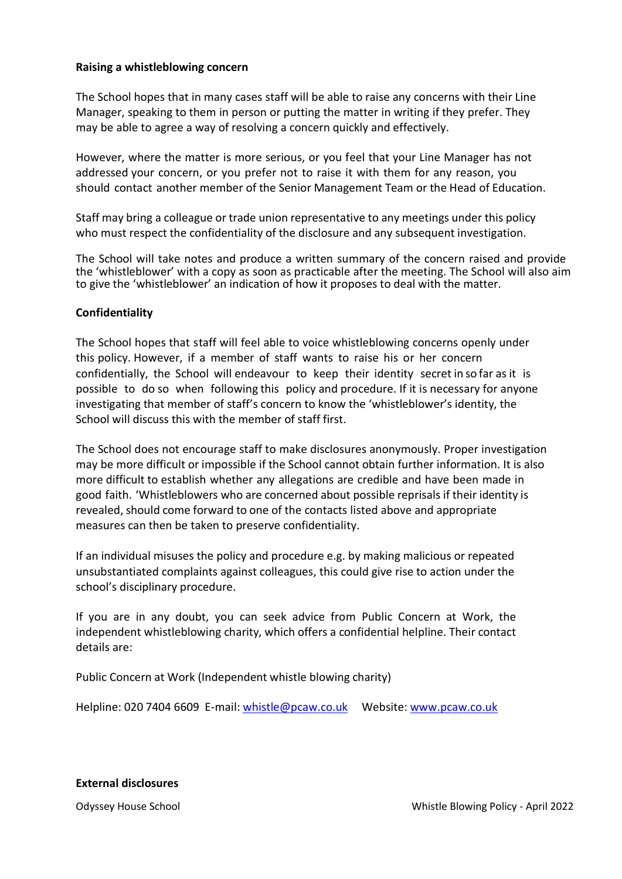## **Raising a whistleblowing concern**

The School hopes that in many cases staff will be able to raise any concerns with their Line Manager, speaking to them in person or putting the matter in writing if they prefer. They may be able to agree a way of resolving a concern quickly and effectively.

However, where the matter is more serious, or you feel that your Line Manager has not addressed your concern, or you prefer not to raise it with them for any reason, you should contact another member of the Senior Management Team or the Head of Education.

Staff may bring a colleague or trade union representative to any meetings under this policy who must respect the confidentiality of the disclosure and any subsequent investigation.

The School will take notes and produce a written summary of the concern raised and provide the 'whistleblower' with a copy as soon as practicable after the meeting. The School will also aim to give the 'whistleblower' an indication of how it proposes to deal with the matter.

#### **Confidentiality**

The School hopes that staff will feel able to voice whistleblowing concerns openly under this policy. However, if a member of staff wants to raise his or her concern confidentially, the School will endeavour to keep their identity secret in so far asit is possible to do so when following this policy and procedure. If it is necessary for anyone investigating that member of staff's concern to know the 'whistleblower's identity, the School will discuss this with the member of staff first.

The School does not encourage staff to make disclosures anonymously. Proper investigation may be more difficult or impossible if the School cannot obtain further information. It is also more difficult to establish whether any allegations are credible and have been made in good faith. 'Whistleblowers who are concerned about possible reprisals if their identity is revealed, should come forward to one of the contacts listed above and appropriate measures can then be taken to preserve confidentiality.

If an individual misuses the policy and procedure e.g. by making malicious or repeated unsubstantiated complaints against colleagues, this could give rise to action under the school's disciplinary procedure.

If you are in any doubt, you can seek advice from Public Concern at Work, the independent whistleblowing charity, which offers a confidential helpline. Their contact details are:

Public Concern at Work (Independent whistle blowing charity)

Helpline: 020 7404 6609 E-mail: whistle@pcaw.co.uk Website: www.pcaw.co.uk

#### **External disclosures**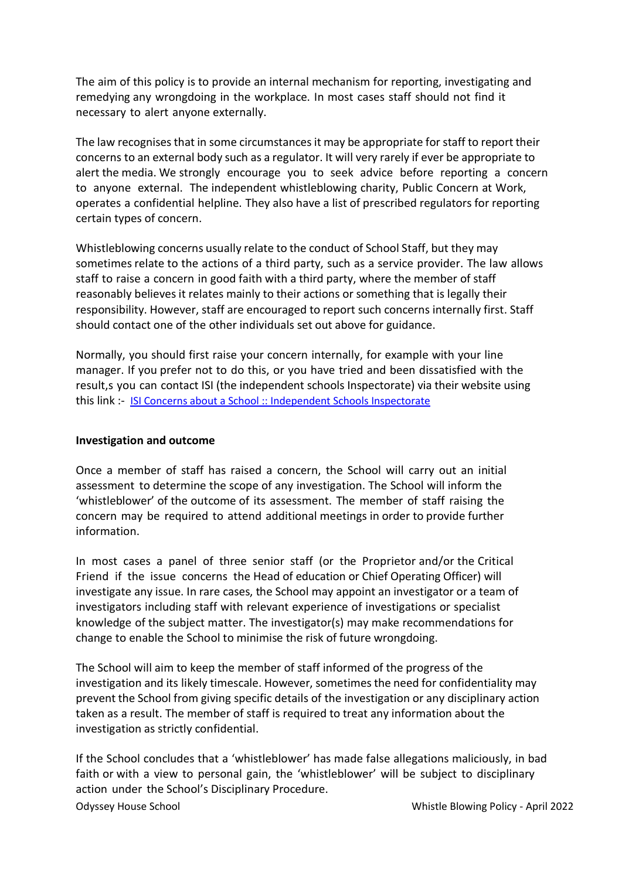The aim of this policy is to provide an internal mechanism for reporting, investigating and remedying any wrongdoing in the workplace. In most cases staff should not find it necessary to alert anyone externally.

The law recognises that in some circumstances it may be appropriate for staff to report their concerns to an external body such as a regulator. It will very rarely if ever be appropriate to alert the media. We strongly encourage you to seek advice before reporting a concern to anyone external. The independent whistleblowing charity, Public Concern at Work, operates a confidential helpline. They also have a list of prescribed regulators for reporting certain types of concern.

Whistleblowing concerns usually relate to the conduct of School Staff, but they may sometimes relate to the actions of a third party, such as a service provider. The law allows staff to raise a concern in good faith with a third party, where the member of staff reasonably believes it relates mainly to their actions or something that is legally their responsibility. However, staff are encouraged to report such concerns internally first. Staff should contact one of the other individuals set out above for guidance.

Normally, you should first raise your concern internally, for example with your line manager. If you prefer not to do this, or you have tried and been dissatisfied with the result,s you can contact ISI (the independent schools Inspectorate) via their website using this link :- [ISI Concerns about a School :: Independent Schools Inspectorate](https://www.isi.net/safeguarding/concerns)

# **Investigation and outcome**

Once a member of staff has raised a concern, the School will carry out an initial assessment to determine the scope of any investigation. The School will inform the 'whistleblower' of the outcome of its assessment. The member of staff raising the concern may be required to attend additional meetings in order to provide further information.

In most cases a panel of three senior staff (or the Proprietor and/or the Critical Friend if the issue concerns the Head of education or Chief Operating Officer) will investigate any issue. In rare cases, the School may appoint an investigator or a team of investigators including staff with relevant experience of investigations or specialist knowledge of the subject matter. The investigator(s) may make recommendations for change to enable the School to minimise the risk of future wrongdoing.

The School will aim to keep the member of staff informed of the progress of the investigation and its likely timescale. However, sometimes the need for confidentiality may prevent the School from giving specific details of the investigation or any disciplinary action taken as a result. The member of staff is required to treat any information about the investigation as strictly confidential.

If the School concludes that a 'whistleblower' has made false allegations maliciously, in bad faith or with a view to personal gain, the 'whistleblower' will be subject to disciplinary action under the School's Disciplinary Procedure.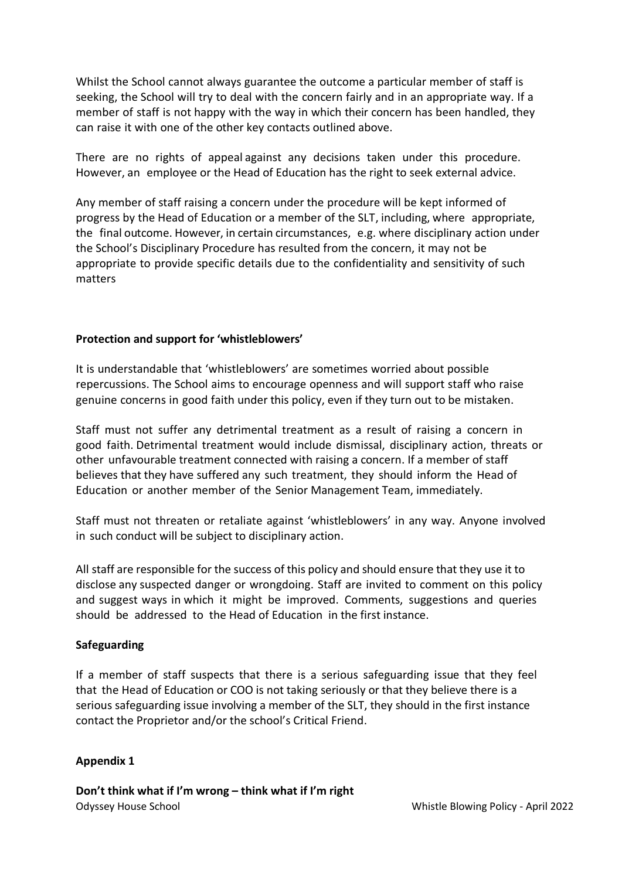Whilst the School cannot always guarantee the outcome a particular member of staff is seeking, the School will try to deal with the concern fairly and in an appropriate way. If a member of staff is not happy with the way in which their concern has been handled, they can raise it with one of the other key contacts outlined above.

There are no rights of appeal against any decisions taken under this procedure. However, an employee or the Head of Education has the right to seek external advice.

Any member of staff raising a concern under the procedure will be kept informed of progress by the Head of Education or a member of the SLT, including, where appropriate, the final outcome. However, in certain circumstances, e.g. where disciplinary action under the School's Disciplinary Procedure has resulted from the concern, it may not be appropriate to provide specific details due to the confidentiality and sensitivity of such matters

# **Protection and support for 'whistleblowers'**

It is understandable that 'whistleblowers' are sometimes worried about possible repercussions. The School aims to encourage openness and will support staff who raise genuine concerns in good faith under this policy, even if they turn out to be mistaken.

Staff must not suffer any detrimental treatment as a result of raising a concern in good faith. Detrimental treatment would include dismissal, disciplinary action, threats or other unfavourable treatment connected with raising a concern. If a member of staff believes that they have suffered any such treatment, they should inform the Head of Education or another member of the Senior Management Team, immediately.

Staff must not threaten or retaliate against 'whistleblowers' in any way. Anyone involved in such conduct will be subject to disciplinary action.

All staff are responsible for the success of this policy and should ensure that they use it to disclose any suspected danger or wrongdoing. Staff are invited to comment on this policy and suggest ways in which it might be improved. Comments, suggestions and queries should be addressed to the Head of Education in the first instance.

# **Safeguarding**

If a member of staff suspects that there is a serious safeguarding issue that they feel that the Head of Education or COO is not taking seriously or that they believe there is a serious safeguarding issue involving a member of the SLT, they should in the first instance contact the Proprietor and/or the school's Critical Friend.

# **Appendix 1**

Odyssey House School Whistle Blowing Policy - April 2022 **Don't think what if I'm wrong – think what if I'm right**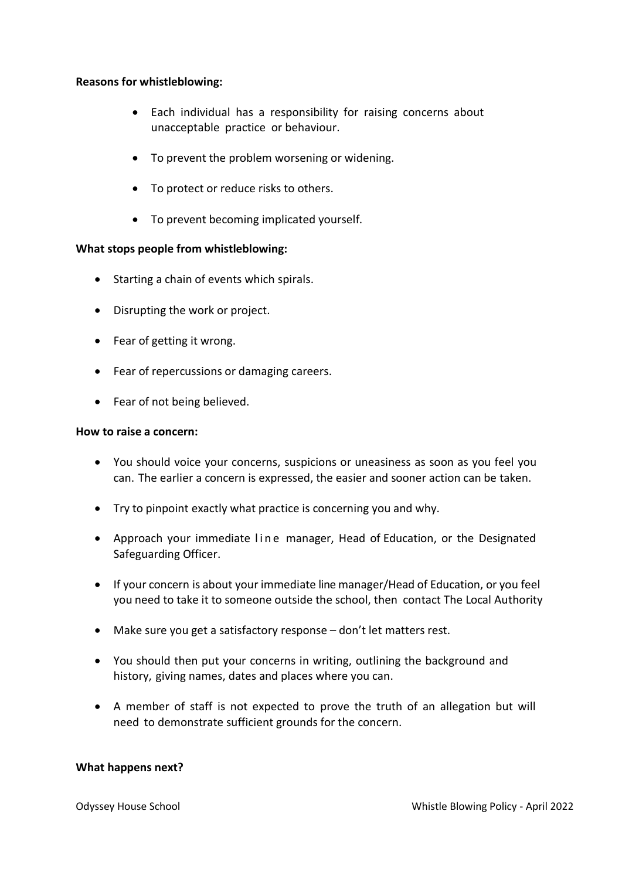# **Reasons for whistleblowing:**

- Each individual has a responsibility for raising concerns about unacceptable practice or behaviour.
- To prevent the problem worsening or widening.
- To protect or reduce risks to others.
- To prevent becoming implicated yourself.

#### **What stops people from whistleblowing:**

- Starting a chain of events which spirals.
- Disrupting the work or project.
- Fear of getting it wrong.
- Fear of repercussions or damaging careers.
- Fear of not being believed.

#### **How to raise a concern:**

- You should voice your concerns, suspicions or uneasiness as soon as you feel you can. The earlier a concern is expressed, the easier and sooner action can be taken.
- Try to pinpoint exactly what practice is concerning you and why.
- Approach your immediate line manager, Head of Education, or the Designated Safeguarding Officer.
- If your concern is about your immediate line manager/Head of Education, or you feel you need to take it to someone outside the school, then contact The Local Authority
- Make sure you get a satisfactory response don't let matters rest.
- You should then put your concerns in writing, outlining the background and history, giving names, dates and places where you can.
- A member of staff is not expected to prove the truth of an allegation but will need to demonstrate sufficient grounds for the concern.

#### **What happens next?**